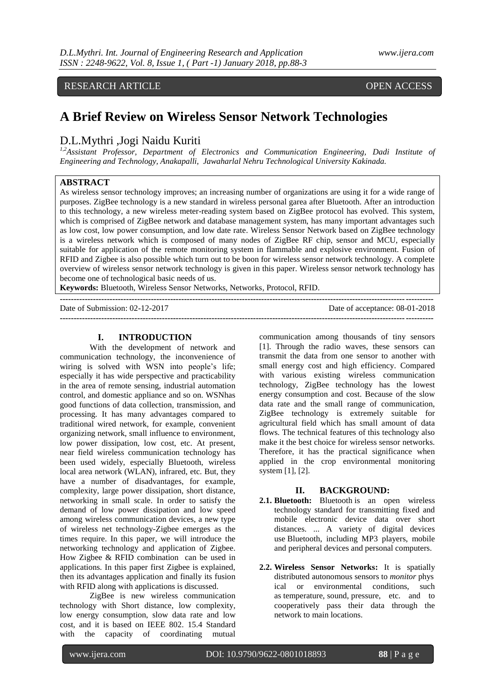# RESEARCH ARTICLE OPEN ACCESS

# **A Brief Review on Wireless Sensor Network Technologies**

# D.L.Mythri ,Jogi Naidu Kuriti

*1,2Assistant Professor, Department of Electronics and Communication Engineering, Dadi Institute of Engineering and Technology, Anakapalli, Jawaharlal Nehru Technological University Kakinada.* 

# **ABSTRACT**

As wireless sensor technology improves; an increasing number of organizations are using it for a wide range of purposes. ZigBee technology is a new standard in wireless personal garea after Bluetooth. After an introduction to this technology, a new wireless meter-reading system based on ZigBee protocol has evolved. This system, which is comprised of ZigBee network and database management system, has many important advantages such as low cost, low power consumption, and low date rate. Wireless Sensor Network based on ZigBee technology is a wireless network which is composed of many nodes of ZigBee RF chip, sensor and MCU, especially suitable for application of the remote monitoring system in flammable and explosive environment. Fusion of RFID and Zigbee is also possible which turn out to be boon for wireless sensor network technology. A complete overview of wireless sensor network technology is given in this paper. Wireless sensor network technology has become one of technological basic needs of us.

**Keywords:** Bluetooth, Wireless Sensor Networks, Networks, Protocol, RFID.

| Date of Submission: 02-12-2017 | Date of acceptance: 08-01-2018 |
|--------------------------------|--------------------------------|
|                                |                                |

# **I. INTRODUCTION**

With the development of network and communication technology, the inconvenience of wiring is solved with WSN into people's life; especially it has wide perspective and practicability in the area of remote sensing, industrial automation control, and domestic appliance and so on. WSNhas good functions of data collection, transmission, and processing. It has many advantages compared to traditional wired network, for example, convenient organizing network, small influence to environment, low power dissipation, low cost, etc. At present, near field wireless communication technology has been used widely, especially Bluetooth, wireless local area network (WLAN), infrared, etc. But, they have a number of disadvantages, for example, complexity, large power dissipation, short distance, networking in small scale. In order to satisfy the demand of low power dissipation and low speed among wireless communication devices, a new type of wireless net technology-Zigbee emerges as the times require. In this paper, we will introduce the networking technology and application of Zigbee. How Zigbee & RFID combination can be used in applications. In this paper first Zigbee is explained, then its advantages application and finally its fusion with RFID along with applications is discussed.

ZigBee is new wireless communication technology with Short distance, low complexity, low energy consumption, slow data rate and low cost, and it is based on IEEE 802. 15.4 Standard with the capacity of coordinating mutual

communication among thousands of tiny sensors [1]. Through the radio waves, these sensors can transmit the data from one sensor to another with small energy cost and high efficiency. Compared with various existing wireless communication technology, ZigBee technology has the lowest energy consumption and cost. Because of the slow data rate and the small range of communication, ZigBee technology is extremely suitable for agricultural field which has small amount of data flows. The technical features of this technology also make it the best choice for wireless sensor networks. Therefore, it has the practical significance when applied in the crop environmental monitoring system [1], [2].

#### **II. BACKGROUND:**

- **2.1. Bluetooth:** Bluetooth is an open wireless technology standard for transmitting fixed and mobile electronic device data over short distances. ... A variety of digital devices use Bluetooth, including MP3 players, mobile and peripheral devices and personal computers.
- **2.2. Wireless Sensor Networks:** It is spatially distributed autonomous sensors to *monitor* phys ical or environmental conditions, such as temperature, sound, pressure, etc. and to cooperatively pass their data through the network to main locations.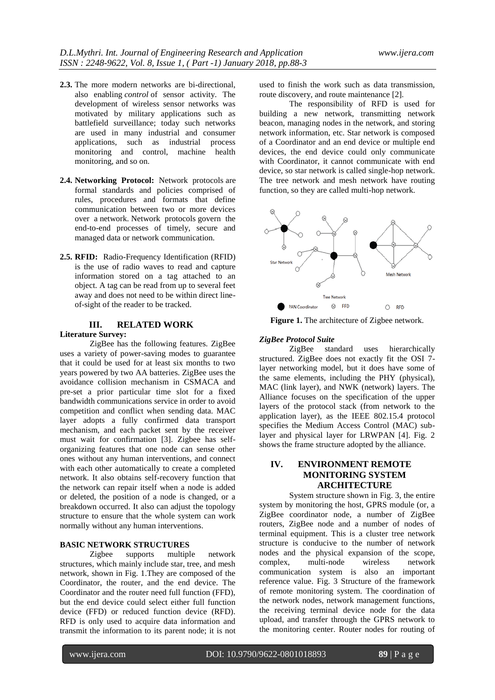- **2.3.** The more modern networks are bi-directional, also enabling *control* of sensor activity. The development of wireless sensor networks was motivated by military applications such as battlefield surveillance; today such networks are used in many industrial and consumer applications, such as industrial process monitoring and control, machine health monitoring, and so on.
- **2.4. Networking Protocol:** Network protocols are formal standards and policies comprised of rules, procedures and formats that define communication between two or more devices over a network. Network protocols govern the end-to-end processes of timely, secure and managed data or network communication.
- **2.5. RFID:** Radio-Frequency Identification (RFID) is the use of radio waves to read and capture information stored on a tag attached to an object. A tag can be read from up to several feet away and does not need to be within direct lineof-sight of the reader to be tracked.

# **III. RELATED WORK**

#### **Literature Survey:**

ZigBee has the following features. ZigBee uses a variety of power-saving modes to guarantee that it could be used for at least six months to two years powered by two AA batteries. ZigBee uses the avoidance collision mechanism in CSMACA and pre-set a prior particular time slot for a fixed bandwidth communications service in order to avoid competition and conflict when sending data. MAC layer adopts a fully confirmed data transport mechanism, and each packet sent by the receiver must wait for confirmation [3]. Zigbee has selforganizing features that one node can sense other ones without any human interventions, and connect with each other automatically to create a completed network. It also obtains self-recovery function that the network can repair itself when a node is added or deleted, the position of a node is changed, or a breakdown occurred. It also can adjust the topology structure to ensure that the whole system can work normally without any human interventions.

#### **BASIC NETWORK STRUCTURES**

Zigbee supports multiple network structures, which mainly include star, tree, and mesh network, shown in Fig. 1.They are composed of the Coordinator, the router, and the end device. The Coordinator and the router need full function (FFD), but the end device could select either full function device (FFD) or reduced function device (RFD). RFD is only used to acquire data information and transmit the information to its parent node; it is not used to finish the work such as data transmission, route discovery, and route maintenance [2].

The responsibility of RFD is used for building a new network, transmitting network beacon, managing nodes in the network, and storing network information, etc. Star network is composed of a Coordinator and an end device or multiple end devices, the end device could only communicate with Coordinator, it cannot communicate with end device, so star network is called single-hop network. The tree network and mesh network have routing function, so they are called multi-hop network.



**Figure 1.** The architecture of Zigbee network.

#### *ZigBee Protocol Suite*

ZigBee standard uses hierarchically structured. ZigBee does not exactly fit the OSI 7 layer networking model, but it does have some of the same elements, including the PHY (physical), MAC (link layer), and NWK (network) layers. The Alliance focuses on the specification of the upper layers of the protocol stack (from network to the application layer), as the IEEE 802.15.4 protocol specifies the Medium Access Control (MAC) sublayer and physical layer for LRWPAN [4]. Fig. 2 shows the frame structure adopted by the alliance.

# **IV. ENVIRONMENT REMOTE MONITORING SYSTEM ARCHITECTURE**

System structure shown in Fig. 3, the entire system by monitoring the host, GPRS module (or, a ZigBee coordinator node, a number of ZigBee routers, ZigBee node and a number of nodes of terminal equipment. This is a cluster tree network structure is conducive to the number of network nodes and the physical expansion of the scope, complex, multi-node wireless network communication system is also an important reference value. Fig. 3 Structure of the framework of remote monitoring system. The coordination of the network nodes, network management functions, the receiving terminal device node for the data upload, and transfer through the GPRS network to the monitoring center. Router nodes for routing of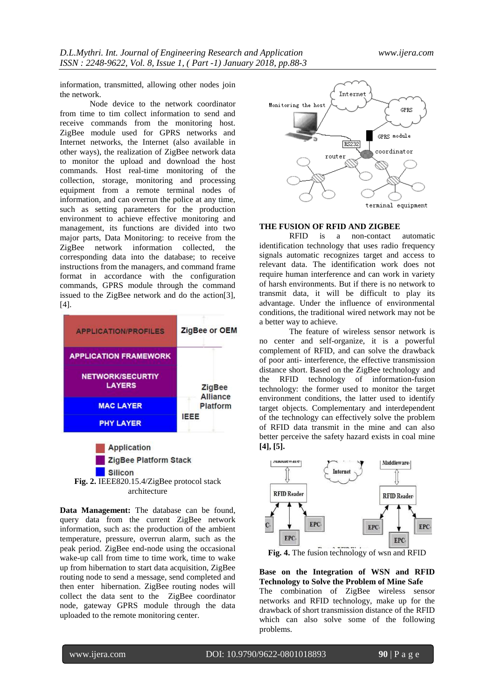information, transmitted, allowing other nodes join the network.

Node device to the network coordinator from time to tim collect information to send and receive commands from the monitoring host. ZigBee module used for GPRS networks and Internet networks, the Internet (also available in other ways), the realization of ZigBee network data to monitor the upload and download the host commands. Host real-time monitoring of the collection, storage, monitoring and processing equipment from a remote terminal nodes of information, and can overrun the police at any time, such as setting parameters for the production environment to achieve effective monitoring and management, its functions are divided into two major parts, Data Monitoring: to receive from the ZigBee network information collected, the corresponding data into the database; to receive instructions from the managers, and command frame format in accordance with the configuration commands, GPRS module through the command issued to the ZigBee network and do the action[3], [4].



**Silicon Fig. 2.** IEEE820.15.4/ZigBee protocol stack architecture

**Data Management:** The database can be found, query data from the current ZigBee network information, such as: the production of the ambient temperature, pressure, overrun alarm, such as the peak period. ZigBee end-node using the occasional wake-up call from time to time work, time to wake up from hibernation to start data acquisition, ZigBee routing node to send a message, send completed and then enter hibernation. ZigBee routing nodes will collect the data sent to the ZigBee coordinator node, gateway GPRS module through the data uploaded to the remote monitoring center.



#### **THE FUSION OF RFID AND ZIGBEE**

RFID is a non-contact automatic identification technology that uses radio frequency signals automatic recognizes target and access to relevant data. The identification work does not require human interference and can work in variety of harsh environments. But if there is no network to transmit data, it will be difficult to play its advantage. Under the influence of environmental conditions, the traditional wired network may not be a better way to achieve.

The feature of wireless sensor network is no center and self-organize, it is a powerful complement of RFID, and can solve the drawback of poor anti- interference, the effective transmission distance short. Based on the ZigBee technology and the RFID technology of information-fusion technology: the former used to monitor the target environment conditions, the latter used to identify target objects. Complementary and interdependent of the technology can effectively solve the problem of RFID data transmit in the mine and can also better perceive the safety hazard exists in coal mine **[4], [5].**



**Fig. 4.** The fusion technology of wsn and RFID

**Base on the Integration of WSN and RFID Technology to Solve the Problem of Mine Safe** The combination of ZigBee wireless sensor networks and RFID technology, make up for the drawback of short transmission distance of the RFID which can also solve some of the following problems.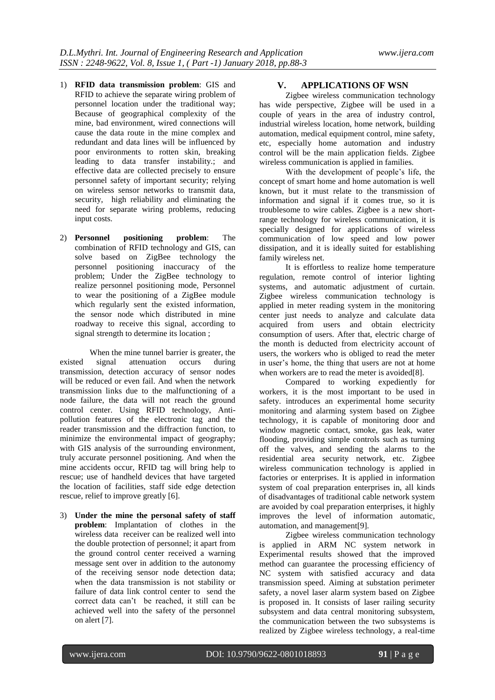- 1) **RFID data transmission problem**: GIS and RFID to achieve the separate wiring problem of personnel location under the traditional way; Because of geographical complexity of the mine, bad environment, wired connections will cause the data route in the mine complex and redundant and data lines will be influenced by poor environments to rotten skin, breaking leading to data transfer instability.; and effective data are collected precisely to ensure personnel safety of important security; relying on wireless sensor networks to transmit data, security, high reliability and eliminating the need for separate wiring problems, reducing input costs.
- 2) **Personnel positioning problem**: The combination of RFID technology and GIS, can solve based on ZigBee technology the personnel positioning inaccuracy of the problem; Under the ZigBee technology to realize personnel positioning mode, Personnel to wear the positioning of a ZigBee module which regularly sent the existed information, the sensor node which distributed in mine roadway to receive this signal, according to signal strength to determine its location ;

When the mine tunnel barrier is greater, the<br>signal attenuation occurs during existed signal attenuation occurs during transmission, detection accuracy of sensor nodes will be reduced or even fail. And when the network transmission links due to the malfunctioning of a node failure, the data will not reach the ground control center. Using RFID technology, Antipollution features of the electronic tag and the reader transmission and the diffraction function, to minimize the environmental impact of geography; with GIS analysis of the surrounding environment, truly accurate personnel positioning. And when the mine accidents occur, RFID tag will bring help to rescue; use of handheld devices that have targeted the location of facilities, staff side edge detection rescue, relief to improve greatly [6].

3) **Under the mine the personal safety of staff problem**: Implantation of clothes in the wireless data receiver can be realized well into the double protection of personnel; it apart from the ground control center received a warning message sent over in addition to the autonomy of the receiving sensor node detection data; when the data transmission is not stability or failure of data link control center to send the correct data can't be reached, it still can be achieved well into the safety of the personnel on alert [7].

### **V. APPLICATIONS OF WSN**

Zigbee wireless communication technology has wide perspective, Zigbee will be used in a couple of years in the area of industry control, industrial wireless location, home network, building automation, medical equipment control, mine safety, etc, especially home automation and industry control will be the main application fields. Zigbee wireless communication is applied in families.

With the development of people's life, the concept of smart home and home automation is well known, but it must relate to the transmission of information and signal if it comes true, so it is troublesome to wire cables. Zigbee is a new shortrange technology for wireless communication, it is specially designed for applications of wireless communication of low speed and low power dissipation, and it is ideally suited for establishing family wireless net.

It is effortless to realize home temperature regulation, remote control of interior lighting systems, and automatic adjustment of curtain. Zigbee wireless communication technology is applied in meter reading system in the monitoring center just needs to analyze and calculate data acquired from users and obtain electricity consumption of users. After that, electric charge of the month is deducted from electricity account of users, the workers who is obliged to read the meter in user's home, the thing that users are not at home when workers are to read the meter is avoided[8].

Compared to working expediently for workers, it is the most important to be used in safety. introduces an experimental home security monitoring and alarming system based on Zigbee technology, it is capable of monitoring door and window magnetic contact, smoke, gas leak, water flooding, providing simple controls such as turning off the valves, and sending the alarms to the residential area security network, etc. Zigbee wireless communication technology is applied in factories or enterprises. It is applied in information system of coal preparation enterprises in, all kinds of disadvantages of traditional cable network system are avoided by coal preparation enterprises, it highly improves the level of information automatic, automation, and management[9].

Zigbee wireless communication technology is applied in ARM NC system network in Experimental results showed that the improved method can guarantee the processing efficiency of NC system with satisfied accuracy and data transmission speed. Aiming at substation perimeter safety, a novel laser alarm system based on Zigbee is proposed in. It consists of laser railing security subsystem and data central monitoring subsystem, the communication between the two subsystems is realized by Zigbee wireless technology, a real-time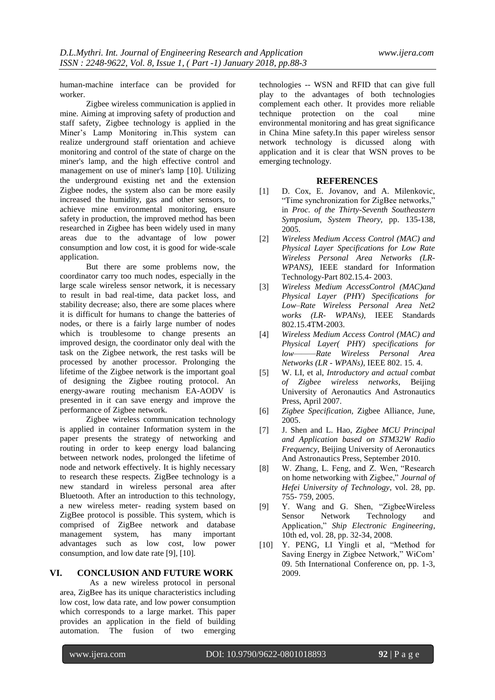human-machine interface can be provided for worker.

Zigbee wireless communication is applied in mine. Aiming at improving safety of production and staff safety, Zigbee technology is applied in the Miner's Lamp Monitoring in.This system can realize underground staff orientation and achieve monitoring and control of the state of charge on the miner's lamp, and the high effective control and management on use of miner's lamp [10]. Utilizing the underground existing net and the extension Zigbee nodes, the system also can be more easily increased the humidity, gas and other sensors, to achieve mine environmental monitoring, ensure safety in production, the improved method has been researched in Zigbee has been widely used in many areas due to the advantage of low power consumption and low cost, it is good for wide-scale application.

But there are some problems now, the coordinator carry too much nodes, especially in the large scale wireless sensor network, it is necessary to result in bad real-time, data packet loss, and stability decrease; also, there are some places where it is difficult for humans to change the batteries of nodes, or there is a fairly large number of nodes which is troublesome to change presents an improved design, the coordinator only deal with the task on the Zigbee network, the rest tasks will be processed by another processor. Prolonging the lifetime of the Zigbee network is the important goal of designing the Zigbee routing protocol. An energy-aware routing mechanism EA-AODV is presented in it can save energy and improve the performance of Zigbee network.

Zigbee wireless communication technology is applied in container Information system in the paper presents the strategy of networking and routing in order to keep energy load balancing between network nodes, prolonged the lifetime of node and network effectively. It is highly necessary to research these respects. ZigBee technology is a new standard in wireless personal area after Bluetooth. After an introduction to this technology, a new wireless meter- reading system based on ZigBee protocol is possible. This system, which is comprised of ZigBee network and database management system, has many important advantages such as low cost, low power consumption, and low date rate [9], [10].

#### **VI. CONCLUSION AND FUTURE WORK**

As a new wireless protocol in personal area, ZigBee has its unique characteristics including low cost, low data rate, and low power consumption which corresponds to a large market. This paper provides an application in the field of building automation. The fusion of two emerging technologies -- WSN and RFID that can give full play to the advantages of both technologies complement each other. It provides more reliable technique protection on the coal mine environmental monitoring and has great significance in China Mine safety.In this paper wireless sensor network technology is dicussed along with application and it is clear that WSN proves to be emerging technology.

#### **REFERENCES**

- [1] D. Cox, E. Jovanov, and A. Milenkovic, "Time synchronization for ZigBee networks," in *Proc. of the Thirty-Seventh Southeastern Symposium, System Theory,* pp. 135-138, 2005.
- [2] *Wireless Medium Access Control (MAC) and Physical Layer Specifications for Low Rate Wireless Personal Area Networks (LR-WPANS)*, IEEE standard for Information Technology-Part 802.15.4- 2003.
- [3] *Wireless Medium AccessControl (MAC)and Physical Layer (PHY) Specifications for Low–Rate Wireless Personal Area Net2 works (LR- WPANs)*, IEEE Standards 802.15.4TM-2003.
- [4] *Wireless Medium Access Control (MAC) and Physical Layer( PHY) specifications for low———Rate Wireless Personal Area Networks (LR - WPANs)*, IEEE 802. 15. 4.
- [5] W. LI, et al, *Introductory and actual combat of Zigbee wireless networks*, Beijing University of Aeronautics And Astronautics Press, April 2007.
- [6] *Zigbee Specification,* Zigbee Alliance, June, 2005.
- [7] J. Shen and L. Hao, *Zigbee MCU Principal and Application based on STM32W Radio Frequency*, Beijing University of Aeronautics And Astronautics Press, September 2010.
- [8] W. Zhang, L. Feng, and Z. Wen, "Research on home networking with Zigbee," *Journal of Hefei University of Technology*, vol. 28, pp. 755- 759, 2005.
- [9] Y. Wang and G. Shen, "ZigbeeWireless Sensor Network Technology and Application," *Ship Electronic Engineering*, 10th ed, vol. 28, pp. 32-34, 2008.
- [10] Y. PENG, LI Yingli et al, "Method for Saving Energy in Zigbee Network," WiCom' 09. 5th International Conference on, pp. 1-3, 2009.